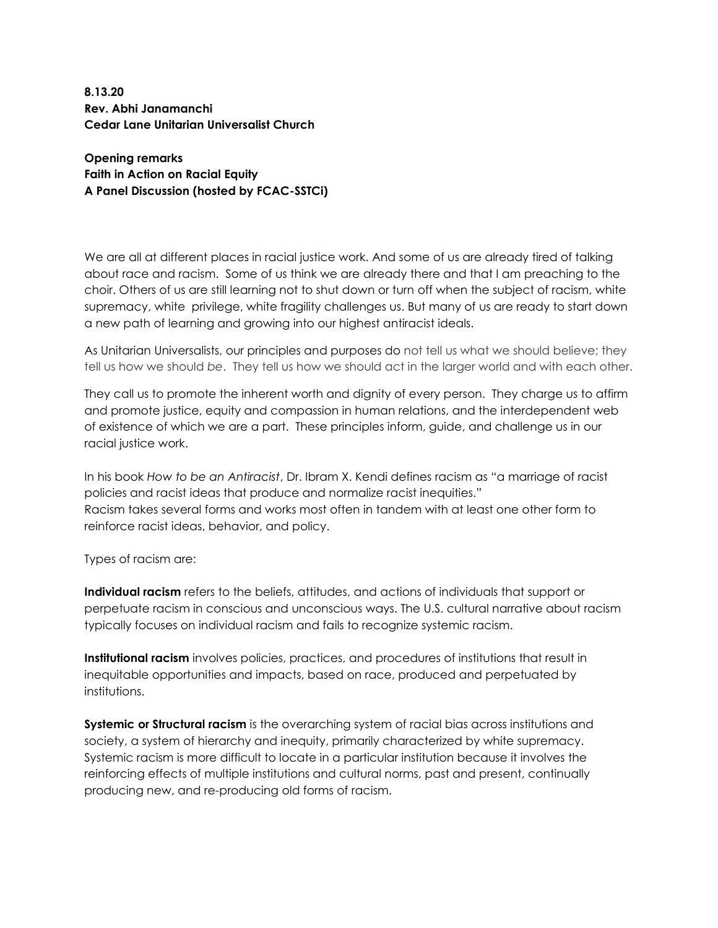**8.13.20 Rev. Abhi Janamanchi Cedar Lane Unitarian Universalist Church**

**Opening remarks Faith in Action on Racial Equity A Panel Discussion (hosted by FCAC-SSTCi)**

We are all at different places in racial justice work. And some of us are already tired of talking about race and racism. Some of us think we are already there and that I am preaching to the choir. Others of us are still learning not to shut down or turn off when the subject of racism, white supremacy, white privilege, white fragility challenges us. But many of us are ready to start down a new path of learning and growing into our highest antiracist ideals.

As Unitarian Universalists, our principles and purposes do not tell us what we should believe; they tell us how we should *be*. They tell us how we should act in the larger world and with each other.

They call us to promote the inherent worth and dignity of every person. They charge us to affirm and promote justice, equity and compassion in human relations, and the interdependent web of existence of which we are a part. These principles inform, guide, and challenge us in our racial justice work.

In his book *How to be an Antiracist*, Dr. Ibram X. Kendi defines racism as "a marriage of racist policies and racist ideas that produce and normalize racist inequities." Racism takes several forms and works most often in tandem with at least one other form to reinforce racist ideas, behavior, and policy.

Types of racism are:

**Individual racism** refers to the beliefs, attitudes, and actions of individuals that support or perpetuate racism in conscious and unconscious ways. The U.S. cultural narrative about racism typically focuses on individual racism and fails to recognize systemic racism.

**Institutional racism** involves policies, practices, and procedures of institutions that result in inequitable opportunities and impacts, based on race, produced and perpetuated by institutions.

**Systemic or Structural racism** is the overarching system of racial bias across institutions and society, a system of hierarchy and inequity, primarily characterized by white supremacy. Systemic racism is more difficult to locate in a particular institution because it involves the reinforcing effects of multiple institutions and cultural norms, past and present, continually producing new, and re-producing old forms of racism.